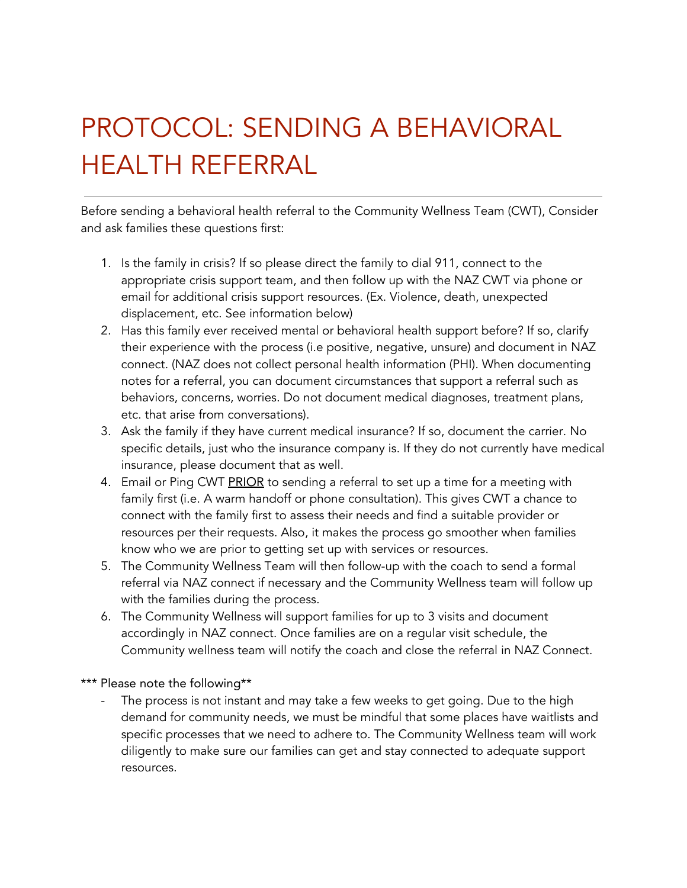## PROTOCOL: SENDING A BEHAVIORAL HEALTH REFERRAL

Before sending a behavioral health referral to the Community Wellness Team (CWT), Consider and ask families these questions first:

- 1. Is the family in crisis? If so please direct the family to dial 911, connect to the appropriate crisis support team, and then follow up with the NAZ CWT via phone or email for additional crisis support resources. (Ex. Violence, death, unexpected displacement, etc. See information below)
- 2. Has this family ever received mental or behavioral health support before? If so, clarify their experience with the process (i.e positive, negative, unsure) and document in NAZ connect. (NAZ does not collect personal health information (PHI). When documenting notes for a referral, you can document circumstances that support a referral such as behaviors, concerns, worries. Do not document medical diagnoses, treatment plans, etc. that arise from conversations).
- 3. Ask the family if they have current medical insurance? If so, document the carrier. No specific details, just who the insurance company is. If they do not currently have medical insurance, please document that as well.
- 4. Email or Ping CWT PRIOR to sending a referral to set up a time for a meeting with family first (i.e. A warm handoff or phone consultation). This gives CWT a chance to connect with the family first to assess their needs and find a suitable provider or resources per their requests. Also, it makes the process go smoother when families know who we are prior to getting set up with services or resources.
- 5. The Community Wellness Team will then follow-up with the coach to send a formal referral via NAZ connect if necessary and the Community Wellness team will follow up with the families during the process.
- 6. The Community Wellness will support families for up to 3 visits and document accordingly in NAZ connect. Once families are on a regular visit schedule, the Community wellness team will notify the coach and close the referral in NAZ Connect.

\*\*\* Please note the following\*\*

The process is not instant and may take a few weeks to get going. Due to the high demand for community needs, we must be mindful that some places have waitlists and specific processes that we need to adhere to. The Community Wellness team will work diligently to make sure our families can get and stay connected to adequate support resources.